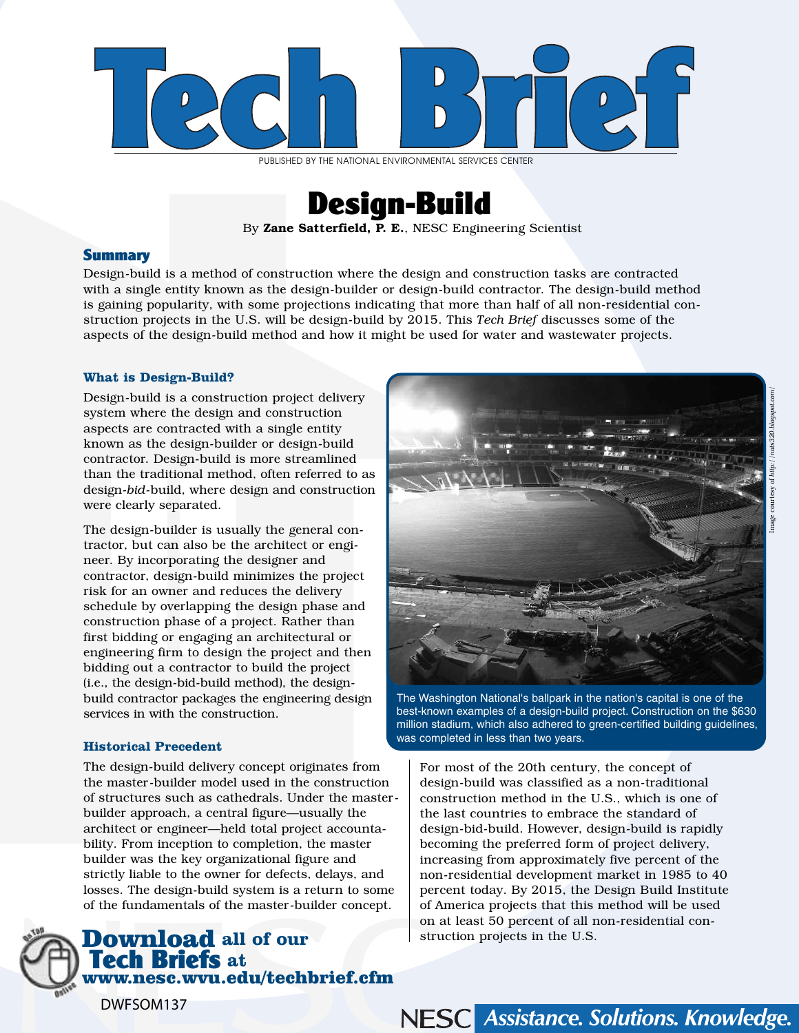

PUBLISHED BY THE NATIONAL ENVIRONMENTAL SERVICES CENTER



By Zane Satterfield, P. E., NESC Engineering Scientist

### **Summary**

Design-build is a method of construction where the design and construction tasks are contracted with a single entity known as the design-builder or design-build contractor. The design-build method is gaining popularity, with some projections indicating that more than half of all non-residential construction projects in the U.S. will be design-build by 2015. This *Tech Brief* discusses some of the aspects of the design-build method and how it might be used for water and wastewater projects.

#### **What is Design-Build?**

Design-build is a construction project delivery system where the design and construction aspects are contracted with a single entity known as the design-builder or design-build contractor. Design-build is more streamlined than the traditional method, often referred to as design-*bid*-build, where design and construction were clearly separated.

The design-builder is usually the general contractor, but can also be the architect or engineer. By incorporating the designer and contractor, design-build minimizes the project risk for an owner and reduces the delivery schedule by overlapping the design phase and construction phase of a project. Rather than first bidding or engaging an architectural or engineering firm to design the project and then bidding out a contractor to build the project (i.e., the design-bid-build method), the designbuild contractor packages the engineering design services in with the construction.

#### **Historical Precedent**

DWFSOM137

The design-build delivery concept originates from the master-builder model used in the construction of structures such as cathedrals. Under the masterbuilder approach, a central figure—usually the architect or engineer—held total project accountability. From inception to completion, the master builder was the key organizational figure and strictly liable to the owner for defects, delays, and losses. The design-build system is a return to some of the fundamentals of the master-builder concept.

# Download **all of our**  Tech Briefs **at**  www.nesc.wvu.edu/techbrief.cfm



The Washington National's ballpark in the nation's capital is one of the best-known examples of a design-build project. Construction on the \$630 million stadium, which also adhered to green-certified building guidelines, was completed in less than two years.

For most of the 20th century, the concept of design-build was classified as a non-traditional construction method in the U.S., which is one of the last countries to embrace the standard of design-bid-build. However, design-build is rapidly becoming the preferred form of project delivery, increasing from approximately five percent of the non-residential development market in 1985 to 40 percent today. By 2015, the Design Build Institute of America projects that this method will be used on at least 50 percent of all non-residential construction projects in the U.S.

Image courtesy of *http://nats320.blogspot.com/*

NESC Assistance. Solutions. Knowledge.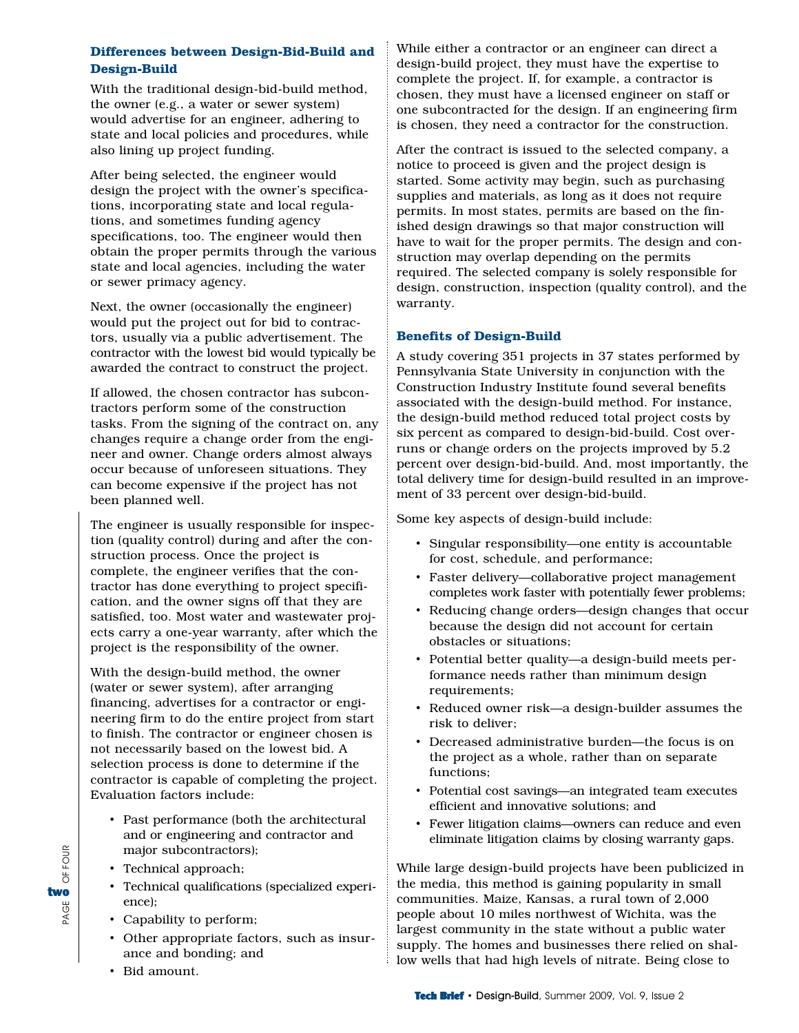### **Differences between Design-Bid-Build and Design-Build**

With the traditional design-bid-build method, the owner (e.g., a water or sewer system) would advertise for an engineer, adhering to state and local policies and procedures, while also lining up project funding.

After being selected, the engineer would design the project with the owner's specifications, incorporating state and local regulations, and sometimes funding agency specifications, too. The engineer would then obtain the proper permits through the various state and local agencies, including the water or sewer primacy agency.

Next, the owner (occasionally the engineer) would put the project out for bid to contractors, usually via a public advertisement. The contractor with the lowest bid would typically be awarded the contract to construct the project.

If allowed, the chosen contractor has subcontractors perform some of the construction tasks. From the signing of the contract on, any changes require a change order from the engineer and owner. Change orders almost always occur because of unforeseen situations. They can become expensive if the project has not been planned well.

The engineer is usually responsible for inspection (quality control) during and after the construction process. Once the project is complete, the engineer verifies that the contractor has done everything to project specification, and the owner signs off that they are satisfied, too. Most water and wastewater projects carry a one-year warranty, after which the project is the responsibility of the owner.

With the design-build method, the owner (water or sewer system), after arranging financing, advertises for a contractor or engineering firm to do the entire project from start to finish. The contractor or engineer chosen is not necessarily based on the lowest bid. A selection process is done to determine if the contractor is capable of completing the project. Evaluation factors include:

- Past performance (both the architectural and or engineering and contractor and major subcontractors);
- Technical approach;
- Technical qualifications (specialized experience);
- Capability to perform;
- Other appropriate factors, such as insurance and bonding; and
- Bid amount.

PAGE OF FOUR

PAGE

OF FOUR

two

While either a contractor or an engineer can direct a design-build project, they must have the expertise to complete the project. If, for example, a contractor is chosen, they must have a licensed engineer on staff or one subcontracted for the design. If an engineering firm is chosen, they need a contractor for the construction.

After the contract is issued to the selected company, a notice to proceed is given and the project design is started. Some activity may begin, such as purchasing supplies and materials, as long as it does not require permits. In most states, permits are based on the finished design drawings so that major construction will have to wait for the proper permits. The design and construction may overlap depending on the permits required. The selected company is solely responsible for design, construction, inspection (quality control), and the warranty.

### **Benefits of Design-Build**

A study covering 351 projects in 37 states performed by Pennsylvania State University in conjunction with the Construction Industry Institute found several benefits associated with the design-build method. For instance, the design-build method reduced total project costs by six percent as compared to design-bid-build. Cost overruns or change orders on the projects improved by 5.2 percent over design-bid-build. And, most importantly, the total delivery time for design-build resulted in an improvement of 33 percent over design-bid-build.

Some key aspects of design-build include:

- Singular responsibility—one entity is accountable for cost, schedule, and performance;
- Faster delivery—collaborative project management completes work faster with potentially fewer problems;
- Reducing change orders—design changes that occur because the design did not account for certain obstacles or situations;
- Potential better quality—a design-build meets performance needs rather than minimum design requirements;
- Reduced owner risk—a design-builder assumes the risk to deliver;
- Decreased administrative burden—the focus is on the project as a whole, rather than on separate functions;
- Potential cost savings—an integrated team executes efficient and innovative solutions; and
- Fewer litigation claims—owners can reduce and even eliminate litigation claims by closing warranty gaps.

While large design-build projects have been publicized in the media, this method is gaining popularity in small communities. Maize, Kansas, a rural town of 2,000 people about 10 miles northwest of Wichita, was the largest community in the state without a public water supply. The homes and businesses there relied on shallow wells that had high levels of nitrate. Being close to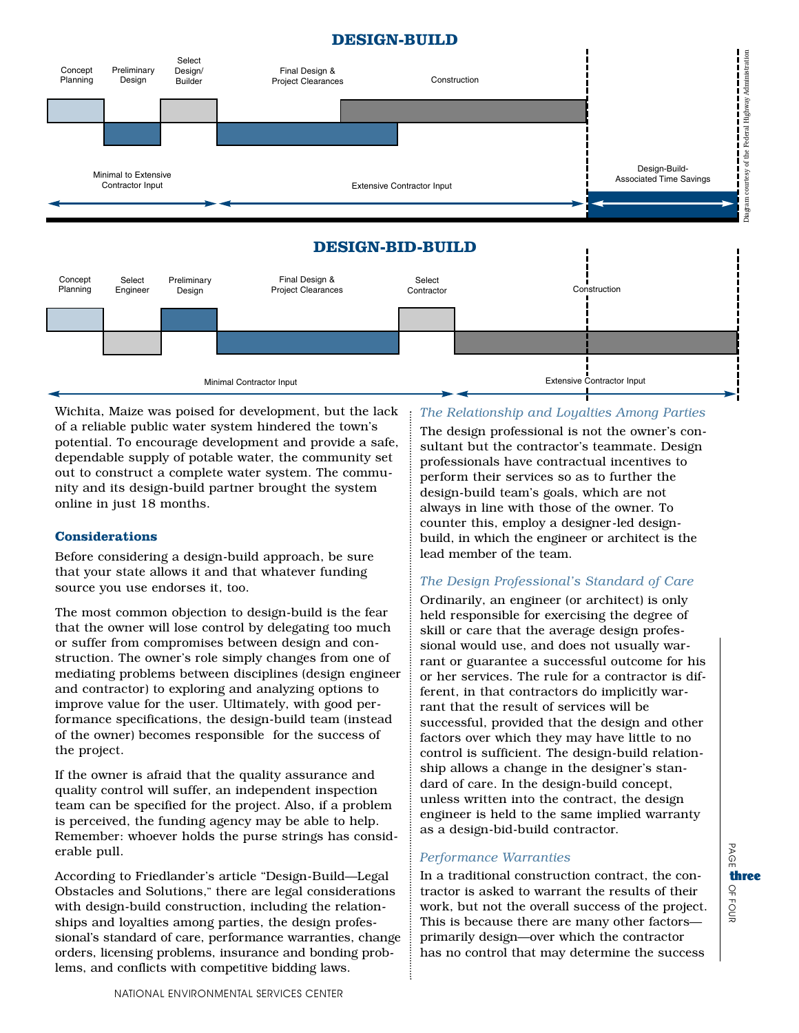# **DESIGN-BUILD**





Wichita, Maize was poised for development, but the lack of a reliable public water system hindered the town's potential. To encourage development and provide a safe, dependable supply of potable water, the community set out to construct a complete water system. The community and its design-build partner brought the system online in just 18 months.

### **Considerations**

Before considering a design-build approach, be sure that your state allows it and that whatever funding source you use endorses it, too.

The most common objection to design-build is the fear that the owner will lose control by delegating too much or suffer from compromises between design and construction. The owner's role simply changes from one of mediating problems between disciplines (design engineer and contractor) to exploring and analyzing options to improve value for the user. Ultimately, with good performance specifications, the design-build team (instead of the owner) becomes responsible for the success of the project.

If the owner is afraid that the quality assurance and quality control will suffer, an independent inspection team can be specified for the project. Also, if a problem is perceived, the funding agency may be able to help. Remember: whoever holds the purse strings has considerable pull.

According to Friedlander's article "Design-Build—Legal Obstacles and Solutions," there are legal considerations with design-build construction, including the relationships and loyalties among parties, the design professional's standard of care, performance warranties, change orders, licensing problems, insurance and bonding problems, and conflicts with competitive bidding laws.

## *The Relationship and Loyalties Among Parties*

The design professional is not the owner's consultant but the contractor's teammate. Design professionals have contractual incentives to perform their services so as to further the design-build team's goals, which are not always in line with those of the owner. To counter this, employ a designer-led designbuild, in which the engineer or architect is the lead member of the team.

# *The Design Professional's Standard of Care*

Ordinarily, an engineer (or architect) is only held responsible for exercising the degree of skill or care that the average design professional would use, and does not usually warrant or guarantee a successful outcome for his or her services. The rule for a contractor is different, in that contractors do implicitly warrant that the result of services will be successful, provided that the design and other factors over which they may have little to no control is sufficient. The design-build relationship allows a change in the designer's standard of care. In the design-build concept, unless written into the contract, the design engineer is held to the same implied warranty as a design-bid-build contractor.

# *Performance Warranties*

In a traditional construction contract, the contractor is asked to warrant the results of their work, but not the overall success of the project. This is because there are many other factors primarily design—over which the contractor has no control that may determine the success

PAGE  $\Omega$ FOUR three